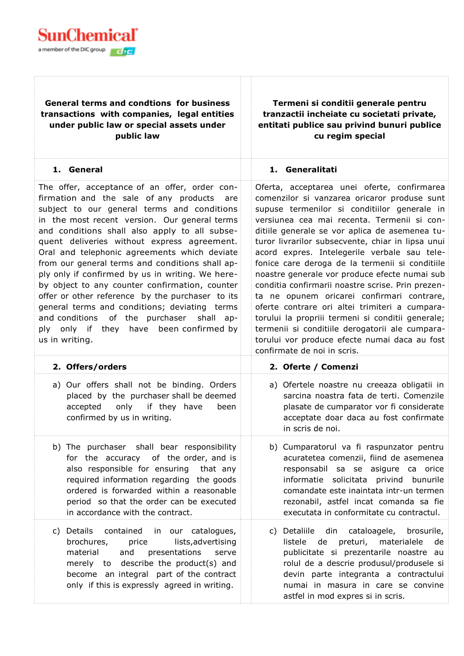

## **General terms and condtions for business transactions with companies, legal entities under public law or special assets under public law**

**Termeni si conditii generale pentru tranzactii incheiate cu societati private, entitati publice sau privind bunuri publice cu regim special**

| 1. General                                                                                                                                                                                                                                                                                                                                                                                                                                                                                                                                                                                                                                                                                                                  | 1. Generalitati                                                                                                                                                                                                                                                                                                                                                                                                                                                                                                                                                                                                                                                                                                                                                                                    |  |  |
|-----------------------------------------------------------------------------------------------------------------------------------------------------------------------------------------------------------------------------------------------------------------------------------------------------------------------------------------------------------------------------------------------------------------------------------------------------------------------------------------------------------------------------------------------------------------------------------------------------------------------------------------------------------------------------------------------------------------------------|----------------------------------------------------------------------------------------------------------------------------------------------------------------------------------------------------------------------------------------------------------------------------------------------------------------------------------------------------------------------------------------------------------------------------------------------------------------------------------------------------------------------------------------------------------------------------------------------------------------------------------------------------------------------------------------------------------------------------------------------------------------------------------------------------|--|--|
| The offer, acceptance of an offer, order con-<br>firmation and the sale of any products are<br>subject to our general terms and conditions<br>in the most recent version. Our general terms<br>and conditions shall also apply to all subse-<br>quent deliveries without express agreement.<br>Oral and telephonic agreements which deviate<br>from our general terms and conditions shall ap-<br>ply only if confirmed by us in writing. We here-<br>by object to any counter confirmation, counter<br>offer or other reference by the purchaser to its<br>general terms and conditions; deviating terms<br>and conditions of the purchaser<br>shall<br>$ap-$<br>ply only if they have been confirmed by<br>us in writing. | Oferta, acceptarea unei oferte, confirmarea<br>comenzilor si vanzarea oricaror produse sunt<br>supuse termenilor si conditiilor generale in<br>versiunea cea mai recenta. Termenii si con-<br>ditiile generale se vor aplica de asemenea tu-<br>turor livrarilor subsecvente, chiar in lipsa unui<br>acord expres. Intelegerile verbale sau tele-<br>fonice care deroga de la termenii si conditiile<br>noastre generale vor produce efecte numai sub<br>conditia confirmarii noastre scrise. Prin prezen-<br>ta ne opunem oricarei confirmari contrare,<br>oferte contrare ori altei trimiteri a cumpara-<br>torului la propriii termeni si conditii generale;<br>termenii si conditiile derogatorii ale cumpara-<br>torului vor produce efecte numai daca au fost<br>confirmate de noi in scris. |  |  |
| 2. Offers/orders                                                                                                                                                                                                                                                                                                                                                                                                                                                                                                                                                                                                                                                                                                            | 2. Oferte / Comenzi                                                                                                                                                                                                                                                                                                                                                                                                                                                                                                                                                                                                                                                                                                                                                                                |  |  |
| a) Our offers shall not be binding. Orders<br>placed by the purchaser shall be deemed<br>only<br>accepted<br>if they have<br>been<br>confirmed by us in writing.                                                                                                                                                                                                                                                                                                                                                                                                                                                                                                                                                            | a) Ofertele noastre nu creeaza obligatii in<br>sarcina noastra fata de terti. Comenzile<br>plasate de cumparator vor fi considerate<br>acceptate doar daca au fost confirmate<br>in scris de noi.                                                                                                                                                                                                                                                                                                                                                                                                                                                                                                                                                                                                  |  |  |
| b) The purchaser shall bear responsibility<br>for the accuracy of the order, and is<br>also responsible for ensuring that any<br>required information regarding the goods<br>ordered is forwarded within a reasonable<br>period so that the order can be executed<br>in accordance with the contract.                                                                                                                                                                                                                                                                                                                                                                                                                       | b) Cumparatorul va fi raspunzator pentru<br>acuratetea comenzii, fiind de asemenea<br>responsabil sa se asigure ca orice<br>informatie solicitata privind bunurile<br>comandate este inaintata intr-un termen<br>rezonabil, astfel incat comanda sa fie<br>executata in conformitate cu contractul.                                                                                                                                                                                                                                                                                                                                                                                                                                                                                                |  |  |
| c) Details<br>contained in our catalogues,<br>lists, advertising<br>brochures,<br>price<br>material<br>and<br>presentations<br>serve<br>describe the product(s) and<br>merely to<br>become an integral part of the contract<br>only if this is expressly agreed in writing.                                                                                                                                                                                                                                                                                                                                                                                                                                                 | c) Detaliile<br>din cataloagele, brosurile,<br>listele<br>preturi, materialele<br>de<br>de<br>publicitate si prezentarile noastre au<br>rolul de a descrie produsul/produsele si<br>devin parte integranta a contractului<br>numai in masura in care se convine<br>astfel in mod expres si in scris.                                                                                                                                                                                                                                                                                                                                                                                                                                                                                               |  |  |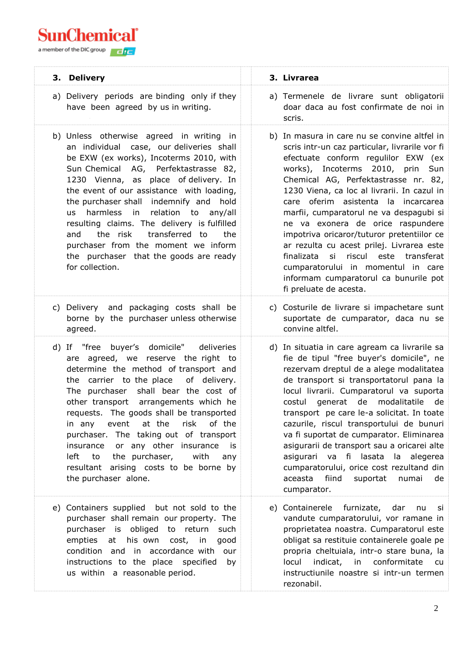**SunChemical**<sup>®</sup>

a member of the DIC group

| 3. Delivery                                                                                                                                                                                                                                                                                                                                                                                                                                                                                                                                               | 3. Livrarea                                                                                                                                                                                                                                                                                                                                                                                                                                                                                                                                                                                                                            |
|-----------------------------------------------------------------------------------------------------------------------------------------------------------------------------------------------------------------------------------------------------------------------------------------------------------------------------------------------------------------------------------------------------------------------------------------------------------------------------------------------------------------------------------------------------------|----------------------------------------------------------------------------------------------------------------------------------------------------------------------------------------------------------------------------------------------------------------------------------------------------------------------------------------------------------------------------------------------------------------------------------------------------------------------------------------------------------------------------------------------------------------------------------------------------------------------------------------|
| a) Delivery periods are binding only if they<br>have been agreed by us in writing.                                                                                                                                                                                                                                                                                                                                                                                                                                                                        | a) Termenele de livrare sunt obligatorii<br>doar daca au fost confirmate de noi in<br>scris.                                                                                                                                                                                                                                                                                                                                                                                                                                                                                                                                           |
| b) Unless otherwise agreed in writing in<br>an individual case, our deliveries shall<br>be EXW (ex works), Incoterms 2010, with<br>Sun Chemical AG, Perfektastrasse 82,<br>1230 Vienna, as place of delivery. In<br>the event of our assistance with loading,<br>the purchaser shall indemnify and hold<br>harmless in<br>relation to any/all<br><b>us</b><br>resulting claims. The delivery is fulfilled<br>the risk<br>transferred to<br>and<br>the<br>purchaser from the moment we inform<br>the purchaser that the goods are ready<br>for collection. | b) In masura in care nu se convine altfel in<br>scris intr-un caz particular, livrarile vor fi<br>efectuate conform regulilor EXW (ex<br>works), Incoterms 2010, prin Sun<br>Chemical AG, Perfektastrasse nr. 82,<br>1230 Viena, ca loc al livrarii. In cazul in<br>care oferim asistenta la incarcarea<br>marfii, cumparatorul ne va despagubi si<br>ne va exonera de orice raspundere<br>impotriva oricaror/tuturor pretentiilor ce<br>ar rezulta cu acest prilej. Livrarea este<br>si riscul este transferat<br>finalizata<br>cumparatorului in momentul in care<br>informam cumparatorul ca bunurile pot<br>fi preluate de acesta. |
| c) Delivery and packaging costs shall be<br>borne by the purchaser unless otherwise<br>agreed.                                                                                                                                                                                                                                                                                                                                                                                                                                                            | c) Costurile de livrare si impachetare sunt<br>suportate de cumparator, daca nu se<br>convine altfel.                                                                                                                                                                                                                                                                                                                                                                                                                                                                                                                                  |
| d) If "free buyer's domicile"<br>deliveries<br>are agreed, we reserve the right to<br>determine the method of transport and<br>the carrier to the place<br>of delivery.<br>The purchaser shall bear the cost of<br>other transport arrangements which he<br>requests. The goods shall be transported<br>in any event at the risk of the<br>purchaser. The taking out of transport<br>insurance or any other insurance<br>is i<br>left to the purchaser, with<br>any<br>resultant arising costs to be borne by<br>the purchaser alone.                     | d) In situatia in care agream ca livrarile sa<br>fie de tipul "free buyer's domicile", ne<br>rezervam dreptul de a alege modalitatea<br>de transport si transportatorul pana la<br>locul livrarii. Cumparatorul va suporta<br>generat de modalitatile de<br>costul<br>transport pe care le-a solicitat. In toate<br>cazurile, riscul transportului de bunuri<br>va fi suportat de cumparator. Eliminarea<br>asigurarii de transport sau a oricarei alte<br>asigurari va fi lasata la alegerea<br>cumparatorului, orice cost rezultand din<br>aceasta<br>fiind<br>suportat<br>numai<br>de<br>cumparator.                                |
| e) Containers supplied but not sold to the<br>purchaser shall remain our property. The<br>purchaser is obliged to return such<br>empties at his own cost, in<br>good<br>condition and in accordance with<br>our<br>instructions to the place specified<br>by<br>us within a reasonable period.                                                                                                                                                                                                                                                            | e) Containerele furnizate, dar<br>nu<br><b>SI</b><br>vandute cumparatorului, vor ramane in<br>proprietatea noastra. Cumparatorul este<br>obligat sa restituie containerele goale pe<br>propria cheltuiala, intr-o stare buna, la<br>locul indicat, in conformitate<br>cu<br>instructiunile noastre si intr-un termen<br>rezonabil.                                                                                                                                                                                                                                                                                                     |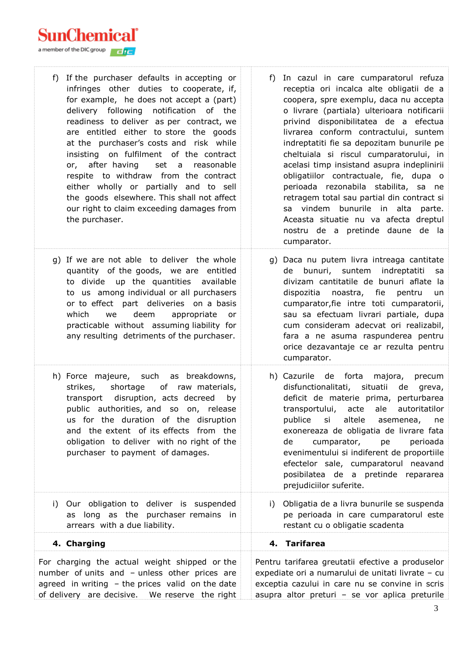SunChemical`

a member of the DIC group

f) If the purchaser defaults in accepting or infringes other duties to cooperate, if, for example, he does not accept a (part) delivery following notification of the readiness to deliver as per contract, we are entitled either to store the goods at the purchaser's costs and risk while insisting on fulfilment of the contract or, after having set a reasonable respite to withdraw from the contract either wholly or partially and to sell the goods elsewhere. This shall not affect our right to claim exceeding damages from the purchaser. f) In cazul in care cumparatorul refuza receptia ori incalca alte obligatii de a coopera, spre exemplu, daca nu accepta o livrare (partiala) ulterioara notificarii privind disponibilitatea de a efectua livrarea conform contractului, suntem indreptatiti fie sa depozitam bunurile pe cheltuiala si riscul cumparatorului, in acelasi timp insistand asupra indeplinirii obligatiilor contractuale, fie, dupa o perioada rezonabila stabilita, sa ne retragem total sau partial din contract si sa vindem bunurile in alta parte. Aceasta situatie nu va afecta dreptul nostru de a pretinde daune de la cumparator. g) If we are not able to deliver the whole quantity of the goods, we are entitled to divide up the quantities available to us among individual or all purchasers or to effect part deliveries on a basis which we deem appropriate or practicable without assuming liability for any resulting detriments of the purchaser. g) Daca nu putem livra intreaga cantitate de bunuri, suntem indreptatiti sa divizam cantitatile de bunuri aflate la dispozitia noastra, fie pentru un cumparator,fie intre toti cumparatorii, sau sa efectuam livrari partiale, dupa cum consideram adecvat ori realizabil, fara a ne asuma raspunderea pentru orice dezavantaje ce ar rezulta pentru cumparator. h) Force majeure, such as breakdowns, strikes, shortage of raw materials, transport disruption, acts decreed by public authorities, and so on, release us for the duration of the disruption and the extent of its effects from the obligation to deliver with no right of the purchaser to payment of damages. h) Cazurile de forta majora, precum disfunctionalitati, situatii de greva, deficit de materie prima, perturbarea transportului, acte ale autoritatilor publice si altele asemenea, ne exonereaza de obligatia de livrare fata de cumparator, pe perioada evenimentului si indiferent de proportiile efectelor sale, cumparatorul neavand posibilatea de a pretinde repararea prejudiciilor suferite. i) Our obligation to deliver is suspended as long as the purchaser remains in arrears with a due liability. i) Obligatia de a livra bunurile se suspenda pe perioada in care cumparatorul este restant cu o obligatie scadenta **4. Charging 4. Tarifarea** For charging the actual weight shipped or the number of units and – unless other prices are agreed in writing  $-$  the prices valid on the date of delivery are decisive. We reserve the right Pentru tarifarea greutatii efective a produselor expediate ori a numarului de unitati livrate – cu exceptia cazului in care nu se convine in scris asupra altor preturi – se vor aplica preturile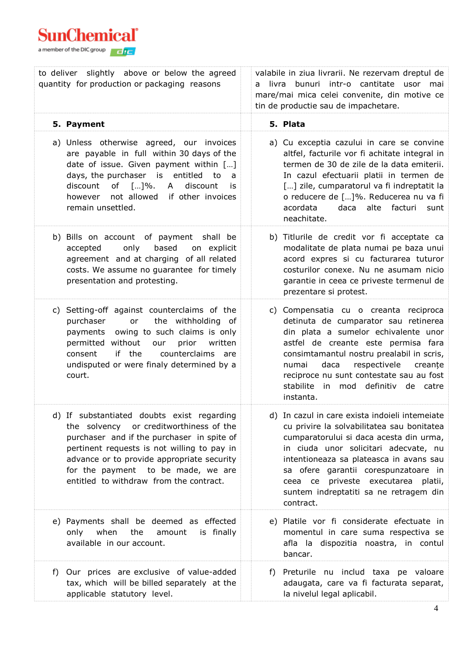| to deliver slightly above or below the agreed<br>quantity for production or packaging reasons                                                                                                                                                                                                                        | valabile in ziua livrarii. Ne rezervam dreptul de<br>livra bunuri intr-o cantitate usor mai<br>mare/mai mica celei convenite, din motive ce<br>tin de productie sau de impachetare.                                                                                                                                                                               |
|----------------------------------------------------------------------------------------------------------------------------------------------------------------------------------------------------------------------------------------------------------------------------------------------------------------------|-------------------------------------------------------------------------------------------------------------------------------------------------------------------------------------------------------------------------------------------------------------------------------------------------------------------------------------------------------------------|
| 5. Payment                                                                                                                                                                                                                                                                                                           | 5. Plata                                                                                                                                                                                                                                                                                                                                                          |
| a) Unless otherwise agreed, our invoices<br>are payable in full within 30 days of the<br>date of issue. Given payment within []<br>days, the purchaser is entitled<br>to<br>a<br>discount of $[]$ %.<br>A<br>discount<br>is<br>not allowed<br>if other invoices<br>however<br>remain unsettled.                      | a) Cu exceptia cazului in care se convine<br>altfel, facturile vor fi achitate integral in<br>termen de 30 de zile de la data emiterii.<br>In cazul efectuarii platii in termen de<br>[] zile, cumparatorul va fi indreptatit la<br>o reducere de []%. Reducerea nu va fi<br>acordata<br>daca<br>alte<br>facturi<br>sunt<br>neachitate.                           |
| b) Bills on account of payment shall be<br>based<br>only<br>on explicit<br>accepted<br>agreement and at charging of all related<br>costs. We assume no guarantee for timely<br>presentation and protesting.                                                                                                          | b) Titlurile de credit vor fi acceptate ca<br>modalitate de plata numai pe baza unui<br>acord expres si cu facturarea tuturor<br>costurilor conexe. Nu ne asumam nicio<br>garantie in ceea ce priveste termenul de<br>prezentare si protest.                                                                                                                      |
| c) Setting-off against counterclaims of the<br>the withholding of<br>purchaser<br>or<br>payments owing to such claims is only<br>permitted without<br>prior<br>our<br>written<br>if the<br>counterclaims are<br>consent<br>undisputed or were finaly determined by a<br>court.                                       | c) Compensatia cu o creanta reciproca<br>detinuta de cumparator sau retinerea<br>din plata a sumelor echivalente unor<br>astfel de creante este permisa fara<br>consimtamantul nostru prealabil in scris,<br>respectivele<br>daca<br>creanțe<br>numai<br>reciproce nu sunt contestate sau au fost<br>stabilite in mod definitiv de catre<br>instanta.             |
| d) If substantiated doubts exist regarding<br>or creditworthiness of the<br>the solvency<br>purchaser and if the purchaser in spite of<br>pertinent requests is not willing to pay in<br>advance or to provide appropriate security<br>for the payment to be made, we are<br>entitled to withdraw from the contract. | d) In cazul in care exista indoieli intemeiate<br>cu privire la solvabilitatea sau bonitatea<br>cumparatorului si daca acesta din urma,<br>in ciuda unor solicitari adecvate, nu<br>intentioneaza sa plateasca in avans sau<br>sa ofere garantii corespunzatoare in<br>ceea ce priveste executarea platii,<br>suntem indreptatiti sa ne retragem din<br>contract. |
| e) Payments shall be deemed as effected<br>when<br>only<br>the<br>amount<br>is finally<br>available in our account.                                                                                                                                                                                                  | e) Platile vor fi considerate efectuate in<br>momentul in care suma respectiva se<br>afla la dispozitia noastra, in contul<br>bancar.                                                                                                                                                                                                                             |
| Our prices are exclusive of value-added<br>f)<br>tax, which will be billed separately at the<br>applicable statutory level.                                                                                                                                                                                          | f) Preturile nu includ taxa pe valoare<br>adaugata, care va fi facturata separat,<br>la nivelul legal aplicabil.                                                                                                                                                                                                                                                  |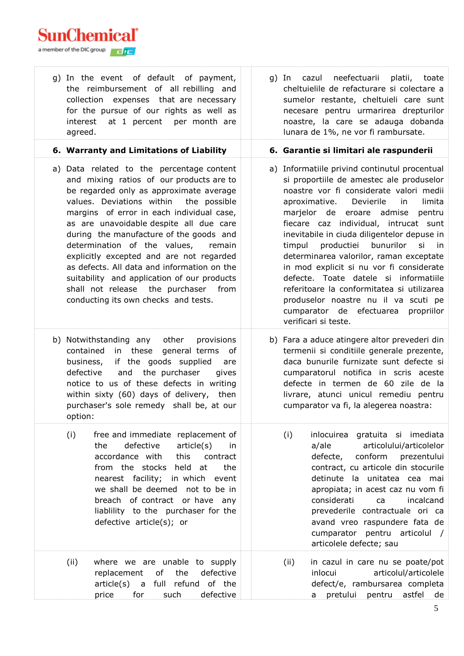| g) In the event of default of payment,<br>the reimbursement of all rebilling and<br>collection expenses that are necessary<br>for the pursue of our rights as well as<br>at 1 percent<br>per month are<br>interest<br>agreed.                                                                                                                                                                                                                                                                                                                                                        | g) In cazul neefectuarii platii, toate<br>cheltuielile de refacturare si colectare a<br>sumelor restante, cheltuieli care sunt<br>necesare pentru urmarirea drepturilor<br>noastre, la care se adauga dobanda<br>lunara de 1%, ne vor fi rambursate.                                                                                                                                                                                                                                                                                                                                                                                                          |
|--------------------------------------------------------------------------------------------------------------------------------------------------------------------------------------------------------------------------------------------------------------------------------------------------------------------------------------------------------------------------------------------------------------------------------------------------------------------------------------------------------------------------------------------------------------------------------------|---------------------------------------------------------------------------------------------------------------------------------------------------------------------------------------------------------------------------------------------------------------------------------------------------------------------------------------------------------------------------------------------------------------------------------------------------------------------------------------------------------------------------------------------------------------------------------------------------------------------------------------------------------------|
| 6. Warranty and Limitations of Liability                                                                                                                                                                                                                                                                                                                                                                                                                                                                                                                                             | 6. Garantie si limitari ale raspunderii                                                                                                                                                                                                                                                                                                                                                                                                                                                                                                                                                                                                                       |
| a) Data related to the percentage content<br>and mixing ratios of our products are to<br>be regarded only as approximate average<br>values. Deviations within<br>the possible<br>margins of error in each individual case,<br>as are unavoidable despite all due care<br>during the manufacture of the goods and<br>determination of the values,<br>remain<br>explicitly excepted and are not regarded<br>as defects. All data and information on the<br>suitability and application of our products<br>shall not release the purchaser from<br>conducting its own checks and tests. | a) Informatiile privind continutul procentual<br>si proportiile de amestec ale produselor<br>noastre vor fi considerate valori medii<br>limita<br>aproximative.<br>Devierile<br>in<br>marjelor de eroare admise<br>pentru<br>fiecare caz individual, intrucat sunt<br>inevitabile in ciuda diligentelor depuse in<br>productiei<br>bunurilor<br>si<br>timpul<br>in in<br>determinarea valorilor, raman exceptate<br>in mod explicit si nu vor fi considerate<br>defecte. Toate datele si informatiile<br>referitoare la conformitatea si utilizarea<br>produselor noastre nu il va scuti pe<br>cumparator de efectuarea<br>propriilor<br>verificari si teste. |
| b) Notwithstanding any<br>other<br>provisions<br>in these<br>contained<br>general terms<br>οf<br>if the goods supplied<br>business,<br>are<br>defective<br>and the purchaser<br>gives<br>notice to us of these defects in writing<br>within sixty (60) days of delivery, then<br>purchaser's sole remedy shall be, at our<br>option:                                                                                                                                                                                                                                                 | b) Fara a aduce atingere altor prevederi din<br>termenii si conditiile generale prezente,<br>daca bunurile furnizate sunt defecte si<br>cumparatorul notifica in scris aceste<br>defecte in termen de 60 zile de la<br>livrare, atunci unicul remediu pentru<br>cumparator va fi, la alegerea noastra:                                                                                                                                                                                                                                                                                                                                                        |
| (i)<br>free and immediate replacement of<br>the<br>defective<br>article(s)<br>in<br>accordance with<br>this<br>contract<br>from the stocks held at<br>the<br>nearest facility; in which event<br>we shall be deemed not to be in<br>breach of contract or have any<br>liablility to the purchaser for the<br>defective article(s); or                                                                                                                                                                                                                                                | (i)<br>inlocuirea gratuita si imediata<br>articolului/articolelor<br>a/ale<br>conform<br>prezentului<br>defecte,<br>contract, cu articole din stocurile<br>detinute la unitatea cea mai<br>apropiata; in acest caz nu vom fi<br>considerati<br>ca<br>incalcand<br>prevederile contractuale ori ca<br>avand vreo raspundere fata de<br>cumparator pentru articolul /<br>articolele defecte; sau                                                                                                                                                                                                                                                                |
| (ii)<br>where we are unable to supply<br>replacement<br>of<br>the<br>defective<br>full refund of the<br>$article(s)$ a<br>for<br>such<br>price<br>defective                                                                                                                                                                                                                                                                                                                                                                                                                          | in cazul in care nu se poate/pot<br>(ii)<br>inlocui<br>articolul/articolele<br>defect/e, rambursarea completa<br>pretului<br>pentru<br>astfel<br>de<br>a                                                                                                                                                                                                                                                                                                                                                                                                                                                                                                      |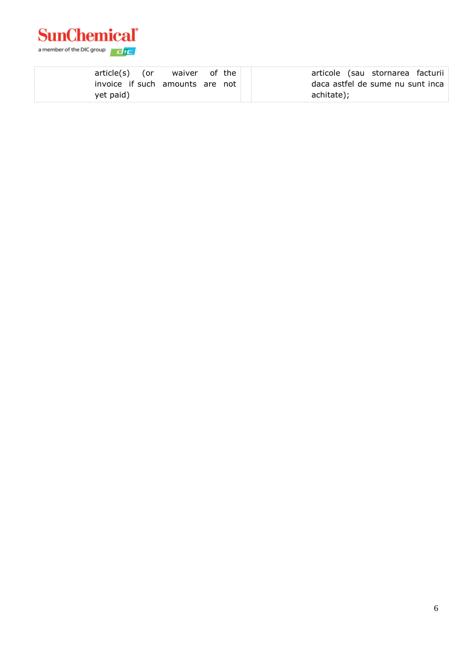

|           | article(s) (or | waiver of the                   |  | articole (sau stornarea facturii |
|-----------|----------------|---------------------------------|--|----------------------------------|
|           |                | invoice if such amounts are not |  | daca astfel de sume nu sunt inca |
| yet paid) |                |                                 |  | achitate);                       |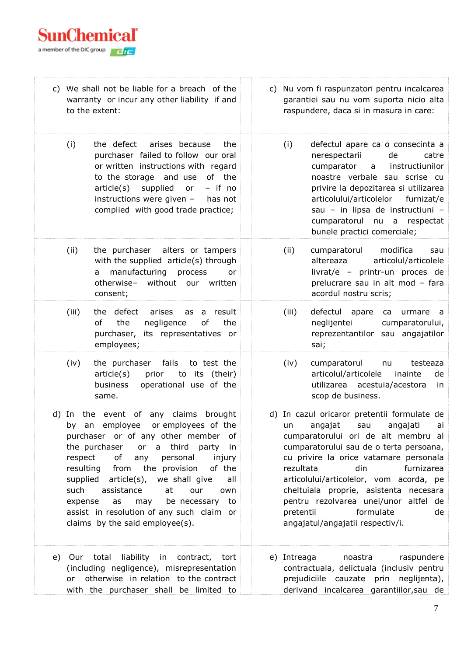

| c) We shall not be liable for a breach of the<br>warranty or incur any other liability if and<br>to the extent:                                                                                                                                                                                                                                                                                                                                                                                        |       |                                                                                                                                                                                                                                                                                  | c) Nu vom fi raspunzatori pentru incalcarea<br>garantiei sau nu vom suporta nicio alta<br>raspundere, daca si in masura in care:                                                                                                                                                                                                                                                                                      |                                                                                                                                                                                                                                                                                                                            |  |
|--------------------------------------------------------------------------------------------------------------------------------------------------------------------------------------------------------------------------------------------------------------------------------------------------------------------------------------------------------------------------------------------------------------------------------------------------------------------------------------------------------|-------|----------------------------------------------------------------------------------------------------------------------------------------------------------------------------------------------------------------------------------------------------------------------------------|-----------------------------------------------------------------------------------------------------------------------------------------------------------------------------------------------------------------------------------------------------------------------------------------------------------------------------------------------------------------------------------------------------------------------|----------------------------------------------------------------------------------------------------------------------------------------------------------------------------------------------------------------------------------------------------------------------------------------------------------------------------|--|
|                                                                                                                                                                                                                                                                                                                                                                                                                                                                                                        | (i)   | the defect<br>arises because<br>the<br>purchaser failed to follow our oral<br>or written instructions with regard<br>to the storage and use<br>of the<br>article(s)<br>supplied<br>$-$ if no<br>or<br>instructions were given -<br>has not<br>complied with good trade practice; | (i)                                                                                                                                                                                                                                                                                                                                                                                                                   | defectul apare ca o consecinta a<br>nerespectarii<br>de<br>catre<br>cumparator<br>instructiunilor<br>a<br>noastre verbale sau scrise cu<br>privire la depozitarea si utilizarea<br>articolului/articolelor<br>furnizat/e<br>sau - in lipsa de instructiuni -<br>cumparatorul nu a respectat<br>bunele practici comerciale; |  |
|                                                                                                                                                                                                                                                                                                                                                                                                                                                                                                        | (ii)  | the purchaser alters or tampers<br>with the supplied article(s) through<br>manufacturing process<br>or<br>a<br>otherwise-<br>without our written<br>consent;                                                                                                                     | (ii)                                                                                                                                                                                                                                                                                                                                                                                                                  | modifica<br>cumparatorul<br>sau<br>altereaza<br>articolul/articolele<br>livrat/e - printr-un proces de<br>prelucrare sau in alt mod - fara<br>acordul nostru scris;                                                                                                                                                        |  |
|                                                                                                                                                                                                                                                                                                                                                                                                                                                                                                        | (iii) | the defect<br>arises<br>result<br>as<br>a<br>of<br>the<br>negligence<br>of<br>the<br>purchaser, its representatives or<br>employees;                                                                                                                                             | (iii)                                                                                                                                                                                                                                                                                                                                                                                                                 | defectul apare<br>urmare a<br>ca<br>neglijentei<br>cumparatorului,<br>reprezentantilor sau angajatilor<br>sai;                                                                                                                                                                                                             |  |
|                                                                                                                                                                                                                                                                                                                                                                                                                                                                                                        | (iv)  | fails<br>the purchaser<br>to test the<br>article(s)<br>prior<br>to its (their)<br>operational use of the<br>business<br>same.                                                                                                                                                    | (iv)                                                                                                                                                                                                                                                                                                                                                                                                                  | cumparatorul<br>nu<br>testeaza<br>articolul/articolele<br>inainte<br>de<br>utilizarea acestuia/acestora<br>in<br>scop de business.                                                                                                                                                                                         |  |
| the event of any claims<br>brought<br>d)<br>In<br>employee<br>or employees of the<br>by<br>an<br>purchaser or of any other member<br>_of<br>a third<br>the purchaser<br>or<br>party<br>in<br>of<br>personal<br>respect<br>any<br>injury<br>resulting from the provision<br>of the<br>article(s), we shall give<br>supplied<br>all<br>such<br>assistance<br>at<br>our<br>own<br>may<br>be necessary to<br>expense<br>as<br>assist in resolution of any such claim or<br>claims by the said employee(s). |       | un<br>rezultata<br>pretentii                                                                                                                                                                                                                                                     | d) In cazul oricaror pretentii formulate de<br>angajat<br>angajati<br>sau<br>ai<br>cumparatorului ori de alt membru al<br>cumparatorului sau de o terta persoana,<br>cu privire la orice vatamare personala<br>furnizarea<br>din<br>articolului/articolelor, vom acorda, pe<br>cheltuiala proprie, asistenta necesara<br>pentru rezolvarea unei/unor altfel de<br>formulate<br>de<br>angajatul/angajatii respectiv/i. |                                                                                                                                                                                                                                                                                                                            |  |
| e)                                                                                                                                                                                                                                                                                                                                                                                                                                                                                                     | or    | Our total liability in contract, tort<br>(including negligence), misrepresentation<br>otherwise in relation to the contract<br>with the purchaser shall be limited to                                                                                                            | e) Intreaga                                                                                                                                                                                                                                                                                                                                                                                                           | raspundere<br>noastra<br>contractuala, delictuala (inclusiv pentru<br>prejudiciile cauzate prin neglijenta),<br>derivand incalcarea garantiilor, sau de                                                                                                                                                                    |  |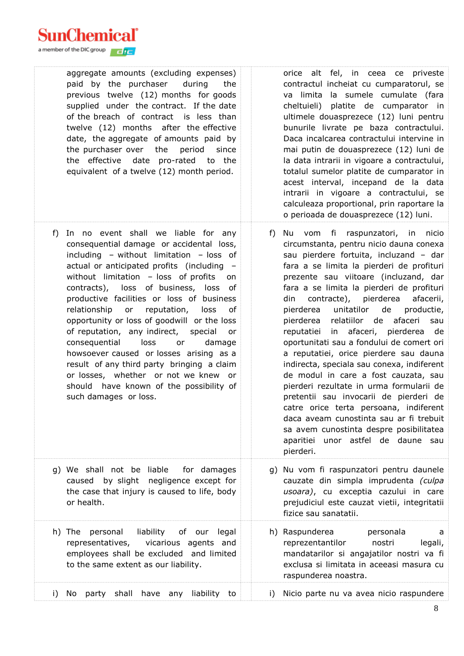| aggregate amounts (excluding expenses)<br>paid by the purchaser<br>during<br>the<br>previous twelve (12) months for goods<br>supplied under the contract. If the date<br>of the breach of contract is less than<br>twelve (12) months after the effective<br>date, the aggregate of amounts paid by<br>the purchaser over the<br>period<br>since<br>the effective date pro-rated<br>to the<br>equivalent of a twelve (12) month period.                                                                                                                                                                                                                                                                           | orice alt fel, in ceea ce priveste<br>contractul incheiat cu cumparatorul, se<br>va limita la sumele cumulate (fara<br>cheltuieli) platite de cumparator in<br>ultimele douasprezece (12) luni pentru<br>bunurile livrate pe baza contractului.<br>Daca incalcarea contractului intervine in<br>mai putin de douasprezece (12) luni de<br>la data intrarii in vigoare a contractului,<br>totalul sumelor platite de cumparator in<br>acest interval, incepand de la data<br>intrarii in vigoare a contractului, se<br>calculeaza proportional, prin raportare la<br>o perioada de douasprezece (12) luni.                                                                                                                                                                                                                                                                                               |
|-------------------------------------------------------------------------------------------------------------------------------------------------------------------------------------------------------------------------------------------------------------------------------------------------------------------------------------------------------------------------------------------------------------------------------------------------------------------------------------------------------------------------------------------------------------------------------------------------------------------------------------------------------------------------------------------------------------------|---------------------------------------------------------------------------------------------------------------------------------------------------------------------------------------------------------------------------------------------------------------------------------------------------------------------------------------------------------------------------------------------------------------------------------------------------------------------------------------------------------------------------------------------------------------------------------------------------------------------------------------------------------------------------------------------------------------------------------------------------------------------------------------------------------------------------------------------------------------------------------------------------------|
| In no event shall we liable for any<br>f)<br>consequential damage or accidental loss,<br>including - without limitation - loss of<br>actual or anticipated profits (including -<br>without limitation - loss of profits<br>on<br>contracts), loss of business, loss of<br>productive facilities or loss of business<br>relationship<br>reputation,<br>or<br>loss<br>of<br>opportunity or loss of goodwill or the loss<br>of reputation, any indirect, special<br>or<br>consequential<br>loss<br>or<br>damage<br>howsoever caused or losses arising as a<br>result of any third party bringing a claim<br>or losses, whether or not we knew or<br>should have known of the possibility of<br>such damages or loss. | Nu vom fi raspunzatori, in nicio<br>f)<br>circumstanta, pentru nicio dauna conexa<br>sau pierdere fortuita, incluzand - dar<br>fara a se limita la pierderi de profituri<br>prezente sau viitoare (incluzand, dar<br>fara a se limita la pierderi de profituri<br>contracte), pierderea<br>din<br>afacerii,<br>unitatilor<br>de<br>pierderea<br>productie,<br>relatiilor de afaceri<br>sau<br>pierderea<br>in afaceri, pierderea de<br>reputatiei<br>oportunitati sau a fondului de comert ori<br>a reputatiei, orice pierdere sau dauna<br>indirecta, speciala sau conexa, indiferent<br>de modul in care a fost cauzata, sau<br>pierderi rezultate in urma formularii de<br>pretentii sau invocarii de pierderi de<br>catre orice terta persoana, indiferent<br>daca aveam cunostinta sau ar fi trebuit<br>sa avem cunostinta despre posibilitatea<br>aparitiei unor astfel de daune sau<br>pierderi. |
| g) We shall not be liable<br>for damages<br>by slight<br>negligence except for<br>caused<br>the case that injury is caused to life, body<br>or health.                                                                                                                                                                                                                                                                                                                                                                                                                                                                                                                                                            | g) Nu vom fi raspunzatori pentru daunele<br>cauzate din simpla imprudenta (culpa<br>usoara), cu exceptia cazului in care<br>prejudiciul este cauzat vietii, integritatii<br>fizice sau sanatatii.                                                                                                                                                                                                                                                                                                                                                                                                                                                                                                                                                                                                                                                                                                       |
| h) The personal<br>liability of our legal<br>representatives,<br>vicarious agents and<br>employees shall be excluded and limited<br>to the same extent as our liability.                                                                                                                                                                                                                                                                                                                                                                                                                                                                                                                                          | h) Raspunderea<br>personala<br>a<br>reprezentantilor<br>nostri<br>legali,<br>mandatarilor si angajatilor nostri va fi<br>exclusa si limitata in aceeasi masura cu<br>raspunderea noastra.                                                                                                                                                                                                                                                                                                                                                                                                                                                                                                                                                                                                                                                                                                               |
| have any<br>liability to<br>i)<br>No<br>party<br>shall                                                                                                                                                                                                                                                                                                                                                                                                                                                                                                                                                                                                                                                            | Nicio parte nu va avea nicio raspundere<br>i)                                                                                                                                                                                                                                                                                                                                                                                                                                                                                                                                                                                                                                                                                                                                                                                                                                                           |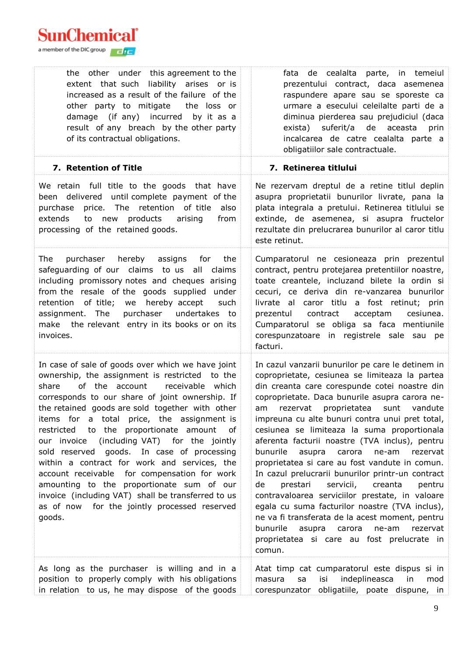| the other under this agreement to the<br>extent that such liability arises or is<br>increased as a result of the failure of the<br>other party to mitigate<br>the loss or<br>damage (if any) incurred by it as a<br>result of any breach by the other party<br>of its contractual obligations.                                                                                                                                                                                                                                                                                                                                                                                                                            | fata de cealalta parte, in temeiul<br>prezentului contract, daca asemenea<br>raspundere apare sau se sporeste ca<br>urmare a esecului celeilalte parti de a<br>diminua pierderea sau prejudiciul (daca<br>suferit/a de aceasta<br>exista)<br>prin<br>incalcarea de catre cealalta parte a<br>obligatiilor sale contractuale.                                                                                                                                                                                                                                                                                                                                                                                                                                                                                                                                                                   |
|---------------------------------------------------------------------------------------------------------------------------------------------------------------------------------------------------------------------------------------------------------------------------------------------------------------------------------------------------------------------------------------------------------------------------------------------------------------------------------------------------------------------------------------------------------------------------------------------------------------------------------------------------------------------------------------------------------------------------|------------------------------------------------------------------------------------------------------------------------------------------------------------------------------------------------------------------------------------------------------------------------------------------------------------------------------------------------------------------------------------------------------------------------------------------------------------------------------------------------------------------------------------------------------------------------------------------------------------------------------------------------------------------------------------------------------------------------------------------------------------------------------------------------------------------------------------------------------------------------------------------------|
| 7. Retention of Title                                                                                                                                                                                                                                                                                                                                                                                                                                                                                                                                                                                                                                                                                                     | 7. Retinerea titlului                                                                                                                                                                                                                                                                                                                                                                                                                                                                                                                                                                                                                                                                                                                                                                                                                                                                          |
| We retain full title to the goods that have<br>been delivered until complete payment of the<br>price. The retention of title<br>also<br>purchase<br>extends<br>products<br>to<br>arising<br>from<br>new<br>processing of the retained goods.                                                                                                                                                                                                                                                                                                                                                                                                                                                                              | Ne rezervam dreptul de a retine titlul deplin<br>asupra proprietatii bunurilor livrate, pana la<br>plata integrala a pretului. Retinerea titlului se<br>extinde, de asemenea, si asupra fructelor<br>rezultate din prelucrarea bunurilor al caror titlu<br>este retinut.                                                                                                                                                                                                                                                                                                                                                                                                                                                                                                                                                                                                                       |
| purchaser<br>hereby assigns<br>The<br>for <b>f</b><br>the<br>safeguarding of our claims to us<br>all<br>claims<br>including promissory notes and cheques arising<br>from the resale of the goods supplied under<br>retention<br>of title;<br>hereby accept<br>we<br>such<br>assignment. The<br>purchaser undertakes to<br>make the relevant entry in its books or on its<br>invoices.                                                                                                                                                                                                                                                                                                                                     | Cumparatorul ne cesioneaza prin prezentul<br>contract, pentru protejarea pretentiilor noastre,<br>toate creantele, incluzand bilete la ordin si<br>cecuri, ce deriva din re-vanzarea bunurilor<br>livrate al caror titlu a fost retinut; prin<br>contract<br>prezentul<br>acceptam<br>cesiunea.<br>Cumparatorul se obliga sa faca mentiunile<br>corespunzatoare in registrele sale sau pe<br>facturi.                                                                                                                                                                                                                                                                                                                                                                                                                                                                                          |
| In case of sale of goods over which we have joint<br>ownership, the assignment is restricted to the<br>share<br>of the account<br>receivable<br>which<br>corresponds to our share of joint ownership. If<br>the retained goods are sold together with other<br>items for a total price, the assignment is<br>to the proportionate amount<br>restricted<br>of<br>(including VAT) for the jointly<br>our invoice<br>sold reserved goods. In case of processing<br>within a contract for work and services, the<br>account receivable for compensation for work<br>amounting to the proportionate sum of our<br>invoice (including VAT) shall be transferred to us<br>as of now for the jointly processed reserved<br>goods. | In cazul vanzarii bunurilor pe care le detinem in<br>coproprietate, cesiunea se limiteaza la partea<br>din creanta care corespunde cotei noastre din<br>coproprietate. Daca bunurile asupra carora ne-<br>rezervat proprietatea<br>sunt vandute<br>am<br>impreuna cu alte bunuri contra unui pret total,<br>cesiunea se limiteaza la suma proportionala<br>aferenta facturii noastre (TVA inclus), pentru<br>asupra<br>carora<br>bunurile<br>ne-am<br>rezervat<br>proprietatea si care au fost vandute in comun.<br>In cazul prelucrarii bunurilor printr-un contract<br>prestari<br>servicii,<br>creanta<br>de<br>pentru<br>contravaloarea serviciilor prestate, in valoare<br>egala cu suma facturilor noastre (TVA inclus),<br>ne va fi transferata de la acest moment, pentru<br>bunurile<br>asupra<br>carora<br>ne-am<br>rezervat<br>proprietatea si care au fost prelucrate in<br>comun. |
| As long as the purchaser is willing and in a<br>position to properly comply with his obligations<br>in relation to us, he may dispose of the goods                                                                                                                                                                                                                                                                                                                                                                                                                                                                                                                                                                        | Atat timp cat cumparatorul este dispus si in<br>indeplineasca<br>isi<br>in<br>masura<br>sa<br>mod<br>corespunzator obligatiile, poate dispune, in                                                                                                                                                                                                                                                                                                                                                                                                                                                                                                                                                                                                                                                                                                                                              |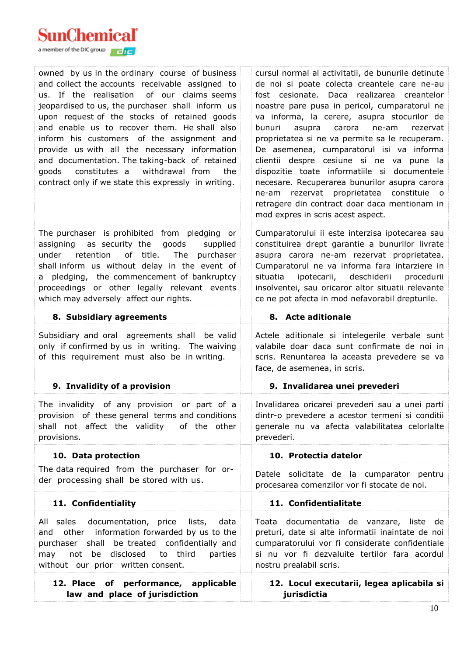

| owned by us in the ordinary course of business<br>and collect the accounts receivable assigned to<br>us. If the realisation<br>of our claims seems<br>jeopardised to us, the purchaser shall inform us<br>upon request of the stocks of retained goods<br>and enable us to recover them. He shall also<br>inform his customers of the assignment and<br>provide us with all the necessary information<br>and documentation. The taking-back of retained<br>goods constitutes a withdrawal from<br>the<br>contract only if we state this expressly in writing. | cursul normal al activitatii, de bunurile detinute<br>de noi si poate colecta creantele care ne-au<br>fost cesionate. Daca realizarea creantelor<br>noastre pare pusa in pericol, cumparatorul ne<br>va informa, la cerere, asupra stocurilor de<br>asupra<br>carora<br>ne-am<br>bunuri<br>rezervat<br>proprietatea si ne va permite sa le recuperam.<br>De asemenea, cumparatorul isi va informa<br>clientii despre cesiune si ne va pune la<br>dispozitie toate informatiile si documentele<br>necesare. Recuperarea bunurilor asupra carora<br>rezervat proprietatea<br>constituie o<br>ne-am<br>retragere din contract doar daca mentionam in<br>mod expres in scris acest aspect. |
|---------------------------------------------------------------------------------------------------------------------------------------------------------------------------------------------------------------------------------------------------------------------------------------------------------------------------------------------------------------------------------------------------------------------------------------------------------------------------------------------------------------------------------------------------------------|----------------------------------------------------------------------------------------------------------------------------------------------------------------------------------------------------------------------------------------------------------------------------------------------------------------------------------------------------------------------------------------------------------------------------------------------------------------------------------------------------------------------------------------------------------------------------------------------------------------------------------------------------------------------------------------|
| The purchaser is prohibited from pledging or<br>assigning as security the<br>goods<br>supplied<br>of title.<br>retention<br>The purchaser<br>under<br>shall inform us without delay in the event of<br>pledging, the commencement of bankruptcy<br>a<br>proceedings or other legally relevant events<br>which may adversely affect our rights.                                                                                                                                                                                                                | Cumparatorului ii este interzisa ipotecarea sau<br>constituirea drept garantie a bunurilor livrate<br>asupra carora ne-am rezervat proprietatea.<br>Cumparatorul ne va informa fara intarziere in<br>ipotecarii, deschiderii<br>situatia<br>procedurii<br>insolventei, sau oricaror altor situatii relevante<br>ce ne pot afecta in mod nefavorabil drepturile.                                                                                                                                                                                                                                                                                                                        |
| 8. Subsidiary agreements                                                                                                                                                                                                                                                                                                                                                                                                                                                                                                                                      | 8. Acte aditionale                                                                                                                                                                                                                                                                                                                                                                                                                                                                                                                                                                                                                                                                     |
| Subsidiary and oral agreements shall be valid<br>only if confirmed by us in writing. The waiving<br>of this requirement must also be in writing.                                                                                                                                                                                                                                                                                                                                                                                                              | Actele aditionale si intelegerile verbale sunt<br>valabile doar daca sunt confirmate de noi in<br>scris. Renuntarea la aceasta prevedere se va<br>face, de asemenea, in scris.                                                                                                                                                                                                                                                                                                                                                                                                                                                                                                         |
| 9. Invalidity of a provision                                                                                                                                                                                                                                                                                                                                                                                                                                                                                                                                  | 9. Invalidarea unei prevederi                                                                                                                                                                                                                                                                                                                                                                                                                                                                                                                                                                                                                                                          |
| The invalidity of any provision or part of a<br>provision of these general terms and conditions<br>shall not affect the validity of the other<br>provisions.                                                                                                                                                                                                                                                                                                                                                                                                  | Invalidarea oricarei prevederi sau a unei parti<br>dintr-o prevedere a acestor termeni si conditii<br>generale nu va afecta valabilitatea celorlalte<br>prevederi.                                                                                                                                                                                                                                                                                                                                                                                                                                                                                                                     |
| 10. Data protection                                                                                                                                                                                                                                                                                                                                                                                                                                                                                                                                           | 10. Protectia datelor                                                                                                                                                                                                                                                                                                                                                                                                                                                                                                                                                                                                                                                                  |
| The data required from the purchaser for or-<br>der processing shall be stored with us.                                                                                                                                                                                                                                                                                                                                                                                                                                                                       | Datele solicitate de la cumparator pentru<br>procesarea comenzilor vor fi stocate de noi.                                                                                                                                                                                                                                                                                                                                                                                                                                                                                                                                                                                              |
| 11. Confidentiality                                                                                                                                                                                                                                                                                                                                                                                                                                                                                                                                           | 11. Confidentialitate                                                                                                                                                                                                                                                                                                                                                                                                                                                                                                                                                                                                                                                                  |
| All sales documentation, price lists,<br>data<br>other information forwarded by us to the<br>and<br>purchaser shall be treated confidentially and<br>not be disclosed to third<br>parties<br>may<br>without our prior written consent.                                                                                                                                                                                                                                                                                                                        | Toata documentatia de vanzare, liste de<br>preturi, date si alte informatii inaintate de noi<br>cumparatorului vor fi considerate confidentiale<br>si nu vor fi dezvaluite tertilor fara acordul<br>nostru prealabil scris.                                                                                                                                                                                                                                                                                                                                                                                                                                                            |
| 12. Place of performance, applicable<br>law and place of jurisdiction                                                                                                                                                                                                                                                                                                                                                                                                                                                                                         | 12. Locul executarii, legea aplicabila si<br>jurisdictia                                                                                                                                                                                                                                                                                                                                                                                                                                                                                                                                                                                                                               |